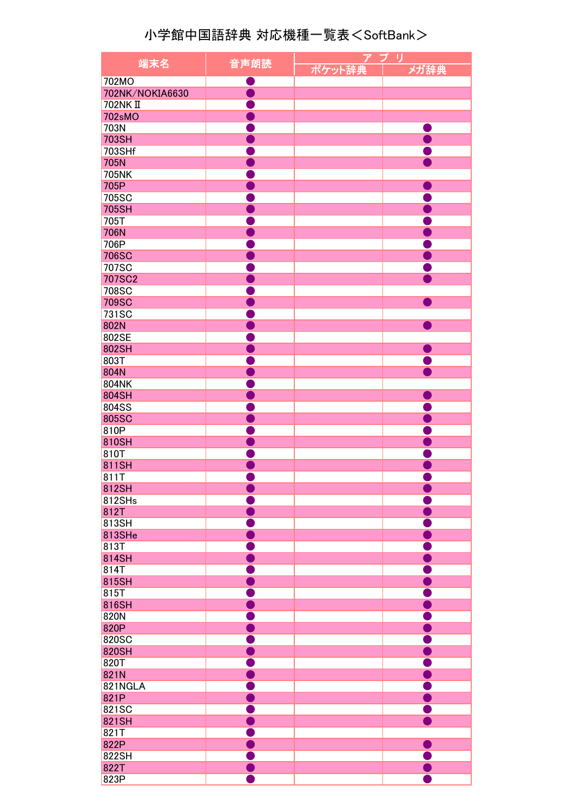## 小学館中国語辞典 対応機種一覧表<SoftBank>

| 端末名             | $\overline{r}$<br>プ<br>IJ |                |
|-----------------|---------------------------|----------------|
|                 | 音声朗読                      | ポケット辞典<br>メガ辞典 |
| 702MO           |                           |                |
| 702NK/NOKIA6630 | <b>Service Service</b>    |                |
| <b>702NKII</b>  |                           |                |
| 702sMO          |                           |                |
| 703N            |                           |                |
| 703SH           |                           |                |
| 703SHf          |                           |                |
|                 |                           |                |
| 705N            |                           |                |
| <b>705NK</b>    |                           |                |
| 705P            |                           |                |
| 705SC           |                           |                |
| 705SH           |                           |                |
| 705T            |                           |                |
| <b>706N</b>     |                           |                |
| 706P            |                           |                |
| <b>706SC</b>    |                           |                |
| 707SC           |                           |                |
| <b>707SC2</b>   |                           |                |
| 708SC           |                           |                |
| <b>709SC</b>    |                           |                |
| 731SC           |                           |                |
| 802N            |                           |                |
| 802SE           |                           |                |
|                 |                           |                |
| 802SH           |                           |                |
| 803T            |                           |                |
| 804N            |                           |                |
| 804NK           |                           |                |
| 804SH           |                           |                |
| 804SS           |                           |                |
| 805SC           |                           |                |
| 810P            |                           |                |
| 810SH           |                           |                |
| 810T            |                           |                |
| 811SH           |                           |                |
| 811T            |                           |                |
| 812SH           |                           |                |
| 812SHs          |                           |                |
| 812T            |                           |                |
|                 |                           |                |
| 813SH           |                           |                |
| 813SHe          |                           |                |
| 813T            |                           |                |
| 814SH           |                           |                |
| 814T            |                           |                |
| 815SH           |                           |                |
| 815T            |                           |                |
| 816SH           |                           |                |
| 820N            |                           |                |
| 820P            |                           |                |
| 820SC           |                           |                |
| 820SH           |                           |                |
| 820T            |                           |                |
| 821N            |                           |                |
| 821NGLA         |                           |                |
| 821P            |                           |                |
|                 |                           |                |
| 821SC           |                           |                |
| 821SH           |                           |                |
| 821T            |                           |                |
| 822P            |                           |                |
| 822SH           |                           |                |
| 822T            |                           |                |
| 823P            |                           |                |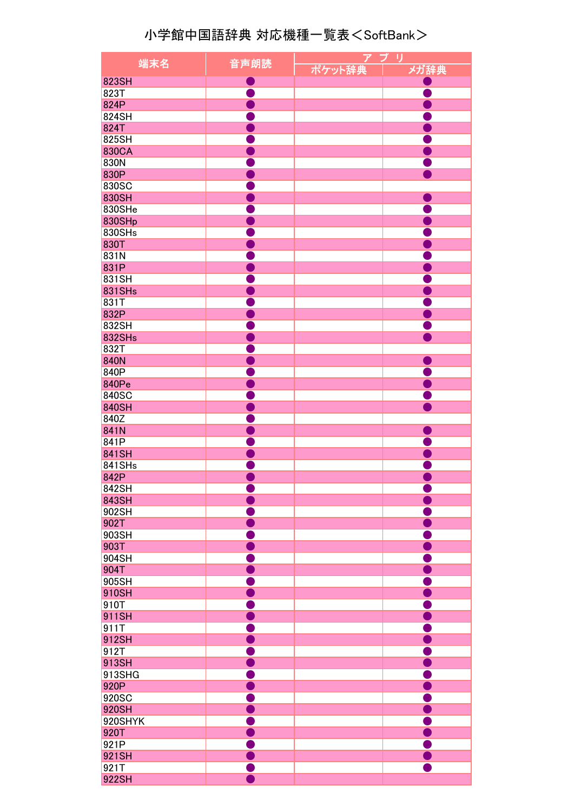## 小学館中国語辞典 対応機種一覧表<SoftBank>

|               |                        | $\overline{r}$ | プ<br>リ                 |
|---------------|------------------------|----------------|------------------------|
| 端末名           | 音声朗読                   | ポケット辞典         | メガ辞典                   |
| 823SH         |                        |                |                        |
| 823T          |                        |                |                        |
| 824P          |                        |                | <b>Service Service</b> |
|               |                        |                |                        |
| 824SH         |                        |                |                        |
| 824T          |                        |                |                        |
| 825SH         |                        |                |                        |
| 830CA         |                        |                |                        |
| 830N          |                        |                |                        |
| 830P          |                        |                |                        |
| 830SC         |                        |                |                        |
| 830SH         |                        |                |                        |
| 830SHe        |                        |                |                        |
| 830SHp        |                        |                |                        |
| 830SHs        |                        |                |                        |
| 830T          |                        |                |                        |
| 831N          |                        |                |                        |
| 831P          |                        |                |                        |
|               |                        |                |                        |
| 831SH         |                        |                |                        |
| <b>831SHs</b> |                        |                |                        |
| 831T          |                        |                |                        |
| 832P          |                        |                |                        |
| 832SH         |                        |                |                        |
| 832SHs        |                        |                |                        |
| 832T          |                        |                |                        |
| <b>840N</b>   |                        |                |                        |
| 840P          |                        |                |                        |
| 840Pe         |                        |                |                        |
| 840SC         |                        |                |                        |
|               |                        |                |                        |
| 840SH         |                        |                |                        |
| 840Z          |                        |                |                        |
| 841N          |                        |                |                        |
| 841P          |                        |                |                        |
| 841SH         |                        |                |                        |
| 841SHs        |                        |                |                        |
| 842P          |                        |                |                        |
| 842SH         |                        |                |                        |
| 843SH         |                        |                |                        |
| 902SH         |                        |                |                        |
| 902T          |                        |                |                        |
| 903SH         |                        |                |                        |
| 903T          |                        |                |                        |
|               |                        |                |                        |
| 904SH         |                        |                |                        |
| 904T          |                        |                |                        |
| 905SH         |                        |                |                        |
| 910SH         | <b>Service Service</b> |                |                        |
| 910T          |                        |                |                        |
| 911SH         | <b>Service Service</b> |                |                        |
| 911T          | <b>Service Service</b> |                |                        |
| 912SH         | <b>Service Service</b> |                |                        |
| 912T          | <b>Service Service</b> |                |                        |
| 913SH         | <b>Service Service</b> |                |                        |
| 913SHG        |                        |                |                        |
| 920P          |                        |                |                        |
|               |                        |                |                        |
| 920SC         |                        |                |                        |
| 920SH         |                        |                |                        |
| 920SHYK       |                        |                |                        |
| 920T          |                        |                |                        |
| 921P          |                        |                |                        |
| 921SH         |                        |                |                        |
| 921T          |                        |                |                        |
| 922SH         |                        |                |                        |